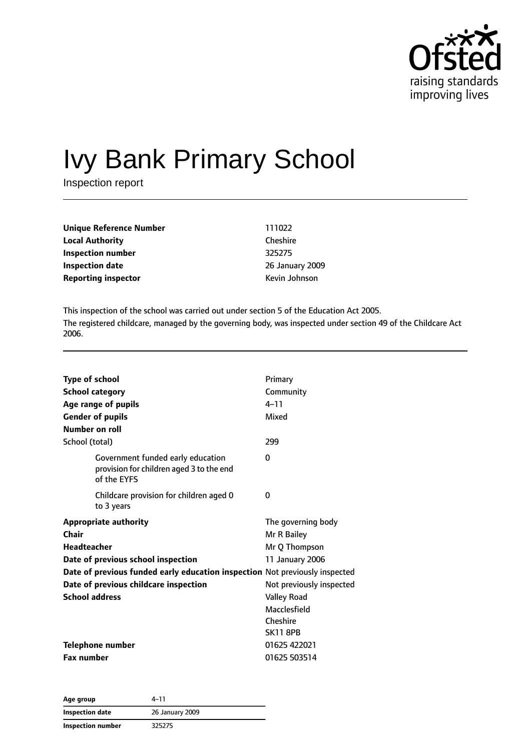

# Ivy Bank Primary School

Inspection report

| Unique Reference Number    | 111022          |
|----------------------------|-----------------|
| <b>Local Authority</b>     | Cheshire        |
| Inspection number          | 325275          |
| <b>Inspection date</b>     | 26 January 2009 |
| <b>Reporting inspector</b> | Kevin Johnson   |

This inspection of the school was carried out under section 5 of the Education Act 2005. The registered childcare, managed by the governing body, was inspected under section 49 of the Childcare Act 2006.

| <b>Type of school</b><br><b>School category</b><br>Age range of pupils<br><b>Gender of pupils</b><br>Number on roll                                                                                                                                | Primary<br>Community<br>$4 - 11$<br>Mixed                                                                                                                              |
|----------------------------------------------------------------------------------------------------------------------------------------------------------------------------------------------------------------------------------------------------|------------------------------------------------------------------------------------------------------------------------------------------------------------------------|
| School (total)                                                                                                                                                                                                                                     | 299                                                                                                                                                                    |
| Government funded early education<br>provision for children aged 3 to the end<br>of the EYFS                                                                                                                                                       | $\Omega$                                                                                                                                                               |
| Childcare provision for children aged 0<br>to 3 years                                                                                                                                                                                              | 0                                                                                                                                                                      |
| <b>Appropriate authority</b><br>Chair<br><b>Headteacher</b><br>Date of previous school inspection<br>Date of previous funded early education inspection Not previously inspected<br>Date of previous childcare inspection<br><b>School address</b> | The governing body<br>Mr R Bailey<br>Mr Q Thompson<br>11 January 2006<br>Not previously inspected<br><b>Valley Road</b><br>Macclesfield<br>Cheshire<br><b>SK11 8PB</b> |
| <b>Telephone number</b><br><b>Fax number</b>                                                                                                                                                                                                       | 01625 422021<br>01625 503514                                                                                                                                           |

| Age group                | 4–11            |  |
|--------------------------|-----------------|--|
| <b>Inspection date</b>   | 26 January 2009 |  |
| <b>Inspection number</b> | 325275          |  |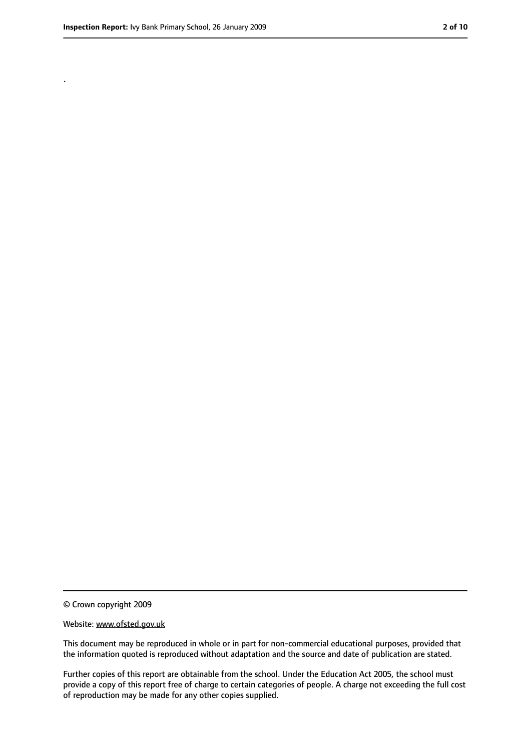.

<sup>©</sup> Crown copyright 2009

Website: www.ofsted.gov.uk

This document may be reproduced in whole or in part for non-commercial educational purposes, provided that the information quoted is reproduced without adaptation and the source and date of publication are stated.

Further copies of this report are obtainable from the school. Under the Education Act 2005, the school must provide a copy of this report free of charge to certain categories of people. A charge not exceeding the full cost of reproduction may be made for any other copies supplied.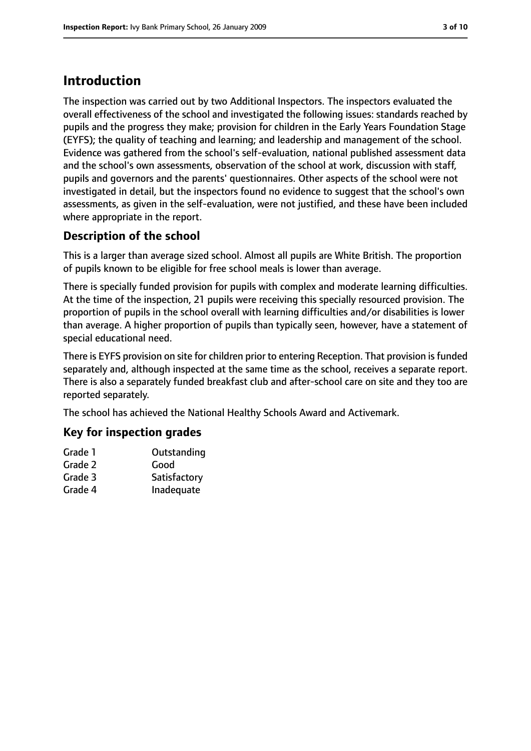## **Introduction**

The inspection was carried out by two Additional Inspectors. The inspectors evaluated the overall effectiveness of the school and investigated the following issues: standards reached by pupils and the progress they make; provision for children in the Early Years Foundation Stage (EYFS); the quality of teaching and learning; and leadership and management of the school. Evidence was gathered from the school's self-evaluation, national published assessment data and the school's own assessments, observation of the school at work, discussion with staff, pupils and governors and the parents' questionnaires. Other aspects of the school were not investigated in detail, but the inspectors found no evidence to suggest that the school's own assessments, as given in the self-evaluation, were not justified, and these have been included where appropriate in the report.

#### **Description of the school**

This is a larger than average sized school. Almost all pupils are White British. The proportion of pupils known to be eligible for free school meals is lower than average.

There is specially funded provision for pupils with complex and moderate learning difficulties. At the time of the inspection, 21 pupils were receiving this specially resourced provision. The proportion of pupils in the school overall with learning difficulties and/or disabilities is lower than average. A higher proportion of pupils than typically seen, however, have a statement of special educational need.

There is EYFS provision on site for children prior to entering Reception. That provision is funded separately and, although inspected at the same time as the school, receives a separate report. There is also a separately funded breakfast club and after-school care on site and they too are reported separately.

The school has achieved the National Healthy Schools Award and Activemark.

#### **Key for inspection grades**

| Grade 1 | Outstanding  |
|---------|--------------|
| Grade 2 | Good         |
| Grade 3 | Satisfactory |
| Grade 4 | Inadequate   |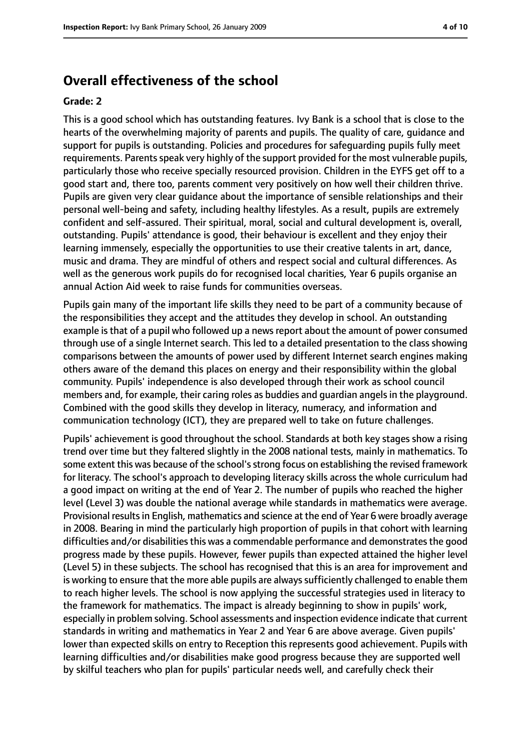### **Overall effectiveness of the school**

#### **Grade: 2**

This is a good school which has outstanding features. Ivy Bank is a school that is close to the hearts of the overwhelming majority of parents and pupils. The quality of care, guidance and support for pupils is outstanding. Policies and procedures for safeguarding pupils fully meet requirements. Parents speak very highly of the support provided for the most vulnerable pupils, particularly those who receive specially resourced provision. Children in the EYFS get off to a good start and, there too, parents comment very positively on how well their children thrive. Pupils are given very clear guidance about the importance of sensible relationships and their personal well-being and safety, including healthy lifestyles. As a result, pupils are extremely confident and self-assured. Their spiritual, moral, social and cultural development is, overall, outstanding. Pupils' attendance is good, their behaviour is excellent and they enjoy their learning immensely, especially the opportunities to use their creative talents in art, dance, music and drama. They are mindful of others and respect social and cultural differences. As well as the generous work pupils do for recognised local charities, Year 6 pupils organise an annual Action Aid week to raise funds for communities overseas.

Pupils gain many of the important life skills they need to be part of a community because of the responsibilities they accept and the attitudes they develop in school. An outstanding example is that of a pupil who followed up a news report about the amount of power consumed through use of a single Internet search. This led to a detailed presentation to the class showing comparisons between the amounts of power used by different Internet search engines making others aware of the demand this places on energy and their responsibility within the global community. Pupils' independence is also developed through their work as school council members and, for example, their caring roles as buddies and guardian angels in the playground. Combined with the good skills they develop in literacy, numeracy, and information and communication technology (ICT), they are prepared well to take on future challenges.

Pupils' achievement is good throughout the school. Standards at both key stages show a rising trend over time but they faltered slightly in the 2008 national tests, mainly in mathematics. To some extent this was because of the school's strong focus on establishing the revised framework for literacy. The school's approach to developing literacy skills across the whole curriculum had a good impact on writing at the end of Year 2. The number of pupils who reached the higher level (Level 3) was double the national average while standards in mathematics were average. Provisional results in English, mathematics and science at the end of Year 6 were broadly average in 2008. Bearing in mind the particularly high proportion of pupils in that cohort with learning difficulties and/or disabilities this was a commendable performance and demonstrates the good progress made by these pupils. However, fewer pupils than expected attained the higher level (Level 5) in these subjects. The school has recognised that this is an area for improvement and is working to ensure that the more able pupils are always sufficiently challenged to enable them to reach higher levels. The school is now applying the successful strategies used in literacy to the framework for mathematics. The impact is already beginning to show in pupils' work, especially in problem solving. School assessments and inspection evidence indicate that current standards in writing and mathematics in Year 2 and Year 6 are above average. Given pupils' lower than expected skills on entry to Reception this represents good achievement. Pupils with learning difficulties and/or disabilities make good progress because they are supported well by skilful teachers who plan for pupils' particular needs well, and carefully check their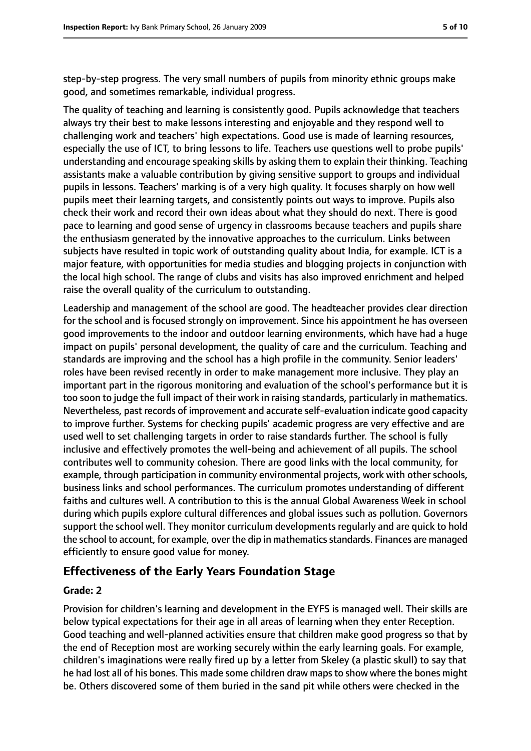step-by-step progress. The very small numbers of pupils from minority ethnic groups make good, and sometimes remarkable, individual progress.

The quality of teaching and learning is consistently good. Pupils acknowledge that teachers always try their best to make lessons interesting and enjoyable and they respond well to challenging work and teachers' high expectations. Good use is made of learning resources, especially the use of ICT, to bring lessons to life. Teachers use questions well to probe pupils' understanding and encourage speaking skills by asking them to explain their thinking. Teaching assistants make a valuable contribution by giving sensitive support to groups and individual pupils in lessons. Teachers' marking is of a very high quality. It focuses sharply on how well pupils meet their learning targets, and consistently points out ways to improve. Pupils also check their work and record their own ideas about what they should do next. There is good pace to learning and good sense of urgency in classrooms because teachers and pupils share the enthusiasm generated by the innovative approaches to the curriculum. Links between subjects have resulted in topic work of outstanding quality about India, for example. ICT is a major feature, with opportunities for media studies and blogging projects in conjunction with the local high school. The range of clubs and visits has also improved enrichment and helped raise the overall quality of the curriculum to outstanding.

Leadership and management of the school are good. The headteacher provides clear direction for the school and is focused strongly on improvement. Since his appointment he has overseen good improvements to the indoor and outdoor learning environments, which have had a huge impact on pupils' personal development, the quality of care and the curriculum. Teaching and standards are improving and the school has a high profile in the community. Senior leaders' roles have been revised recently in order to make management more inclusive. They play an important part in the rigorous monitoring and evaluation of the school's performance but it is too soon to judge the full impact of their work in raising standards, particularly in mathematics. Nevertheless, past records of improvement and accurate self-evaluation indicate good capacity to improve further. Systems for checking pupils' academic progress are very effective and are used well to set challenging targets in order to raise standards further. The school is fully inclusive and effectively promotes the well-being and achievement of all pupils. The school contributes well to community cohesion. There are good links with the local community, for example, through participation in community environmental projects, work with other schools, business links and school performances. The curriculum promotes understanding of different faiths and cultures well. A contribution to this is the annual Global Awareness Week in school during which pupils explore cultural differences and global issues such as pollution. Governors support the school well. They monitor curriculum developments regularly and are quick to hold the school to account, for example, over the dip in mathematics standards. Finances are managed efficiently to ensure good value for money.

#### **Effectiveness of the Early Years Foundation Stage**

#### **Grade: 2**

Provision for children's learning and development in the EYFS is managed well. Their skills are below typical expectations for their age in all areas of learning when they enter Reception. Good teaching and well-planned activities ensure that children make good progress so that by the end of Reception most are working securely within the early learning goals. For example, children's imaginations were really fired up by a letter from Skeley (a plastic skull) to say that he had lost all of his bones. This made some children draw mapsto show where the bones might be. Others discovered some of them buried in the sand pit while others were checked in the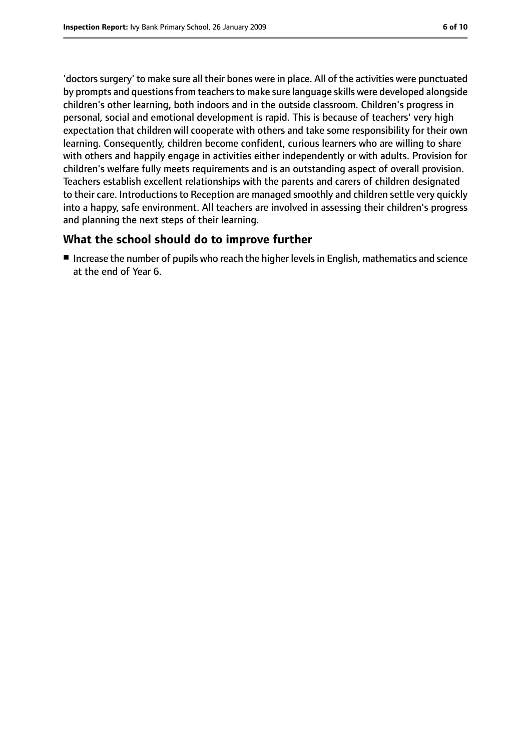'doctors surgery' to make sure all their bones were in place. All of the activities were punctuated by prompts and questions from teachers to make sure language skills were developed alongside children's other learning, both indoors and in the outside classroom. Children's progress in personal, social and emotional development is rapid. This is because of teachers' very high expectation that children will cooperate with others and take some responsibility for their own learning. Consequently, children become confident, curious learners who are willing to share with others and happily engage in activities either independently or with adults. Provision for children's welfare fully meets requirements and is an outstanding aspect of overall provision. Teachers establish excellent relationships with the parents and carers of children designated to their care. Introductions to Reception are managed smoothly and children settle very quickly into a happy, safe environment. All teachers are involved in assessing their children's progress and planning the next steps of their learning.

#### **What the school should do to improve further**

■ Increase the number of pupils who reach the higher levels in English, mathematics and science at the end of Year 6.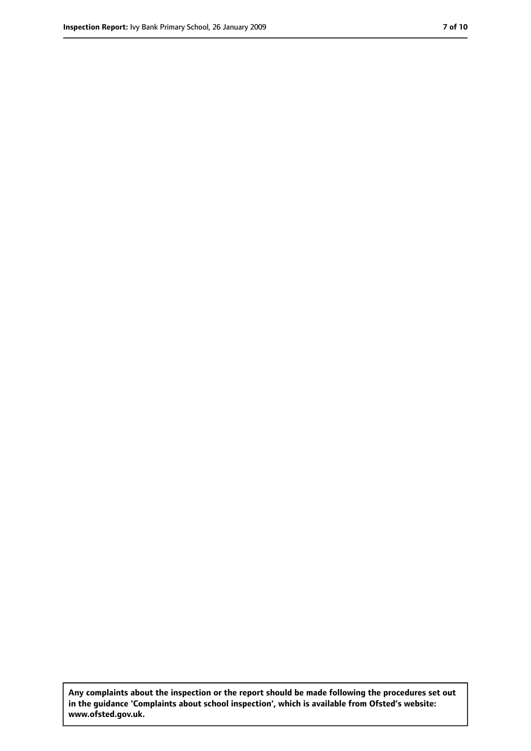**Any complaints about the inspection or the report should be made following the procedures set out in the guidance 'Complaints about school inspection', which is available from Ofsted's website: www.ofsted.gov.uk.**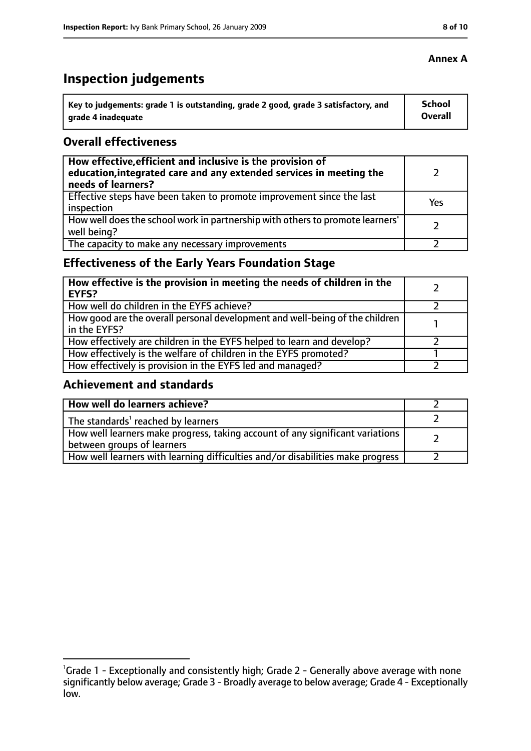# **Inspection judgements**

| Key to judgements: grade 1 is outstanding, grade 2 good, grade 3 satisfactory, and | <b>School</b>  |
|------------------------------------------------------------------------------------|----------------|
| arade 4 inadequate                                                                 | <b>Overall</b> |

#### **Overall effectiveness**

| How effective, efficient and inclusive is the provision of<br>education, integrated care and any extended services in meeting the<br>needs of learners? |     |
|---------------------------------------------------------------------------------------------------------------------------------------------------------|-----|
| Effective steps have been taken to promote improvement since the last<br>inspection                                                                     | Yes |
| How well does the school work in partnership with others to promote learners'<br>well being?                                                            |     |
| The capacity to make any necessary improvements                                                                                                         |     |

## **Effectiveness of the Early Years Foundation Stage**

| How effective is the provision in meeting the needs of children in the<br>l EYFS?            |  |
|----------------------------------------------------------------------------------------------|--|
| How well do children in the EYFS achieve?                                                    |  |
| How good are the overall personal development and well-being of the children<br>in the EYFS? |  |
| How effectively are children in the EYFS helped to learn and develop?                        |  |
| How effectively is the welfare of children in the EYFS promoted?                             |  |
| How effectively is provision in the EYFS led and managed?                                    |  |

#### **Achievement and standards**

| How well do learners achieve?                                                                               |  |
|-------------------------------------------------------------------------------------------------------------|--|
| The standards <sup>1</sup> reached by learners                                                              |  |
| How well learners make progress, taking account of any significant variations<br>between groups of learners |  |
| How well learners with learning difficulties and/or disabilities make progress                              |  |

#### **Annex A**

<sup>&</sup>lt;sup>1</sup>Grade 1 - Exceptionally and consistently high; Grade 2 - Generally above average with none significantly below average; Grade 3 - Broadly average to below average; Grade 4 - Exceptionally low.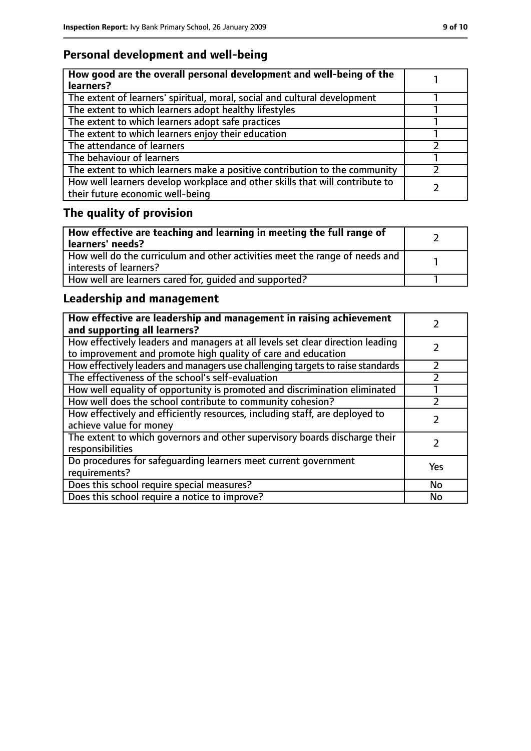## **Personal development and well-being**

| How good are the overall personal development and well-being of the<br>learners?                                 |  |
|------------------------------------------------------------------------------------------------------------------|--|
| The extent of learners' spiritual, moral, social and cultural development                                        |  |
| The extent to which learners adopt healthy lifestyles                                                            |  |
| The extent to which learners adopt safe practices                                                                |  |
| The extent to which learners enjoy their education                                                               |  |
| The attendance of learners                                                                                       |  |
| The behaviour of learners                                                                                        |  |
| The extent to which learners make a positive contribution to the community                                       |  |
| How well learners develop workplace and other skills that will contribute to<br>their future economic well-being |  |

# **The quality of provision**

| How effective are teaching and learning in meeting the full range of<br>learners' needs?              |  |
|-------------------------------------------------------------------------------------------------------|--|
| How well do the curriculum and other activities meet the range of needs and<br>interests of learners? |  |
| How well are learners cared for, quided and supported?                                                |  |

## **Leadership and management**

| How effective are leadership and management in raising achievement<br>and supporting all learners?                                              |           |
|-------------------------------------------------------------------------------------------------------------------------------------------------|-----------|
| How effectively leaders and managers at all levels set clear direction leading<br>to improvement and promote high quality of care and education |           |
| How effectively leaders and managers use challenging targets to raise standards                                                                 | フ         |
| The effectiveness of the school's self-evaluation                                                                                               |           |
| How well equality of opportunity is promoted and discrimination eliminated                                                                      |           |
| How well does the school contribute to community cohesion?                                                                                      |           |
| How effectively and efficiently resources, including staff, are deployed to<br>achieve value for money                                          |           |
| The extent to which governors and other supervisory boards discharge their<br>responsibilities                                                  |           |
| Do procedures for safequarding learners meet current government<br>requirements?                                                                | Yes       |
| Does this school require special measures?                                                                                                      | <b>No</b> |
| Does this school require a notice to improve?                                                                                                   | No        |